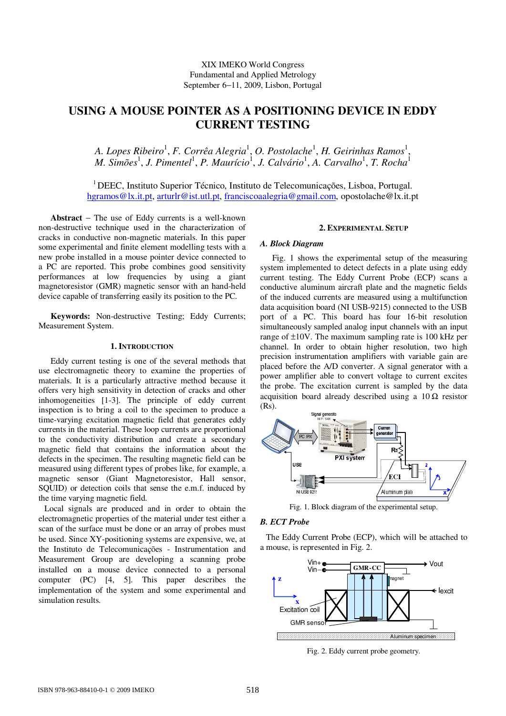# **USING A MOUSE POINTER AS A POSITIONING DEVICE IN EDDY CURRENT TESTING**

A. Lopes Ribeiro<sup>1</sup>, F. Corrêa Alegria<sup>1</sup>, O. Postolache<sup>1</sup>, H. Geirinhas Ramos<sup>1</sup>, *M. Simões<sup>1</sup>, J. Pimentel<sup>1</sup>, P. Maurício<sup>1</sup>, J. Calvário<sup>1</sup>, A. Carvalho<sup>1</sup>, T. Rocha<sup>1</sup>* 

<sup>1</sup>DEEC, Instituto Superior Técnico, Instituto de Telecomunicações, Lisboa, Portugal. hgramos@lx.it.pt, arturlr@ist.utl.pt, franciscoaalegria@gmail.com, opostolache@lx.it.pt

**Abstract** − The use of Eddy currents is a well-known non-destructive technique used in the characterization of cracks in conductive non-magnetic materials. In this paper some experimental and finite element modelling tests with a new probe installed in a mouse pointer device connected to a PC are reported. This probe combines good sensitivity performances at low frequencies by using a giant magnetoresistor (GMR) magnetic sensor with an hand-held device capable of transferring easily its position to the PC.

**Keywords:** Non-destructive Testing; Eddy Currents; Measurement System.

# **1. INTRODUCTION**

Eddy current testing is one of the several methods that use electromagnetic theory to examine the properties of materials. It is a particularly attractive method because it offers very high sensitivity in detection of cracks and other inhomogeneities [1-3]. The principle of eddy current inspection is to bring a coil to the specimen to produce a time-varying excitation magnetic field that generates eddy currents in the material. These loop currents are proportional to the conductivity distribution and create a secondary magnetic field that contains the information about the defects in the specimen. The resulting magnetic field can be measured using different types of probes like, for example, a magnetic sensor (Giant Magnetoresistor, Hall sensor, SQUID) or detection coils that sense the e.m.f. induced by the time varying magnetic field.

Local signals are produced and in order to obtain the electromagnetic properties of the material under test either a scan of the surface must be done or an array of probes must be used. Since XY-positioning systems are expensive, we, at the Instituto de Telecomunicações - Instrumentation and Measurement Group are developing a scanning probe installed on a mouse device connected to a personal computer (PC) [4, 5]. This paper describes the implementation of the system and some experimental and simulation results.

# **2. EXPERIMENTAL SETUP**

#### *A. Block Diagram*

Fig. 1 shows the experimental setup of the measuring system implemented to detect defects in a plate using eddy current testing. The Eddy Current Probe (ECP) scans a conductive aluminum aircraft plate and the magnetic fields of the induced currents are measured using a multifunction data acquisition board (NI USB-9215) connected to the USB port of a PC. This board has four 16-bit resolution simultaneously sampled analog input channels with an input range of ±10V. The maximum sampling rate is 100 kHz per channel. In order to obtain higher resolution, two high precision instrumentation amplifiers with variable gain are placed before the A/D converter. A signal generator with a power amplifier able to convert voltage to current excites the probe. The excitation current is sampled by the data acquisition board already described using a  $10 \Omega$  resistor (Rs).



Fig. 1. Block diagram of the experimental setup.

# *B. ECT Probe*

The Eddy Current Probe (ECP), which will be attached to a mouse, is represented in Fig. 2.



Fig. 2. Eddy current probe geometry.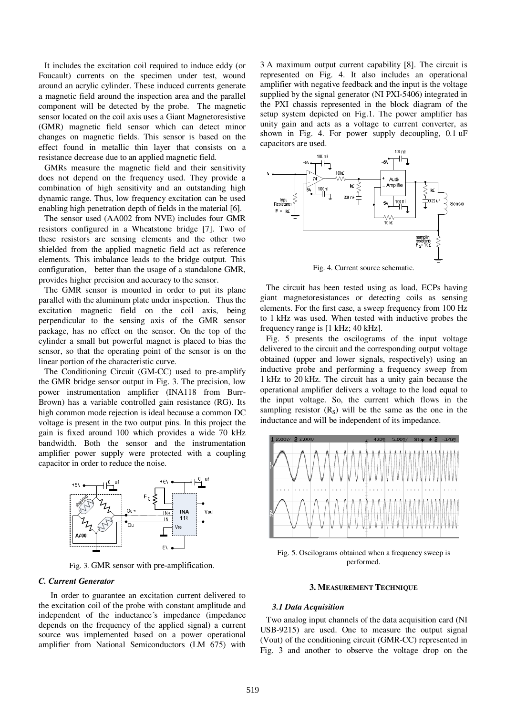It includes the excitation coil required to induce eddy (or Foucault) currents on the specimen under test, wound around an acrylic cylinder. These induced currents generate a magnetic field around the inspection area and the parallel component will be detected by the probe. The magnetic sensor located on the coil axis uses a Giant Magnetoresistive (GMR) magnetic field sensor which can detect minor changes on magnetic fields. This sensor is based on the effect found in metallic thin layer that consists on a resistance decrease due to an applied magnetic field.

GMRs measure the magnetic field and their sensitivity does not depend on the frequency used. They provide a combination of high sensitivity and an outstanding high dynamic range. Thus, low frequency excitation can be used enabling high penetration depth of fields in the material [6].

The sensor used (AA002 from NVE) includes four GMR resistors configured in a Wheatstone bridge [7]. Two of these resistors are sensing elements and the other two shielded from the applied magnetic field act as reference elements. This imbalance leads to the bridge output. This configuration, better than the usage of a standalone GMR, provides higher precision and accuracy to the sensor.

The GMR sensor is mounted in order to put its plane parallel with the aluminum plate under inspection. Thus the excitation magnetic field on the coil axis, being perpendicular to the sensing axis of the GMR sensor package, has no effect on the sensor. On the top of the cylinder a small but powerful magnet is placed to bias the sensor, so that the operating point of the sensor is on the linear portion of the characteristic curve.

The Conditioning Circuit (GM-CC) used to pre-amplify the GMR bridge sensor output in Fig. 3. The precision, low power instrumentation amplifier (INA118 from Burr-Brown) has a variable controlled gain resistance (RG). Its high common mode rejection is ideal because a common DC voltage is present in the two output pins. In this project the gain is fixed around 100 which provides a wide 70 kHz bandwidth. Both the sensor and the instrumentation amplifier power supply were protected with a coupling capacitor in order to reduce the noise.



Fig. 3. GMR sensor with pre-amplification.

#### *C. Current Generator*

In order to guarantee an excitation current delivered to the excitation coil of the probe with constant amplitude and independent of the inductance´s impedance (impedance depends on the frequency of the applied signal) a current source was implemented based on a power operational amplifier from National Semiconductors (LM 675) with

3 A maximum output current capability [8]. The circuit is represented on Fig. 4. It also includes an operational amplifier with negative feedback and the input is the voltage supplied by the signal generator (NI PXI-5406) integrated in the PXI chassis represented in the block diagram of the setup system depicted on Fig.1. The power amplifier has unity gain and acts as a voltage to current converter, as shown in Fig. 4. For power supply decoupling, 0.1 uF capacitors are used.



Fig. 4. Current source schematic.

The circuit has been tested using as load, ECPs having giant magnetoresistances or detecting coils as sensing elements. For the first case, a sweep frequency from 100 Hz to 1 kHz was used. When tested with inductive probes the frequency range is [1 kHz; 40 kHz].

Fig. 5 presents the oscilograms of the input voltage delivered to the circuit and the corresponding output voltage obtained (upper and lower signals, respectively) using an inductive probe and performing a frequency sweep from 1 kHz to 20 kHz. The circuit has a unity gain because the operational amplifier delivers a voltage to the load equal to the input voltage. So, the current which flows in the sampling resistor  $(R<sub>S</sub>)$  will be the same as the one in the inductance and will be independent of its impedance.



Fig. 5. Oscilograms obtained when a frequency sweep is performed.

### **3. MEASUREMENT TECHNIQUE**

## *3.1 Data Acquisition*

Two analog input channels of the data acquisition card (NI USB-9215) are used. One to measure the output signal (Vout) of the conditioning circuit (GMR-CC) represented in Fig. 3 and another to observe the voltage drop on the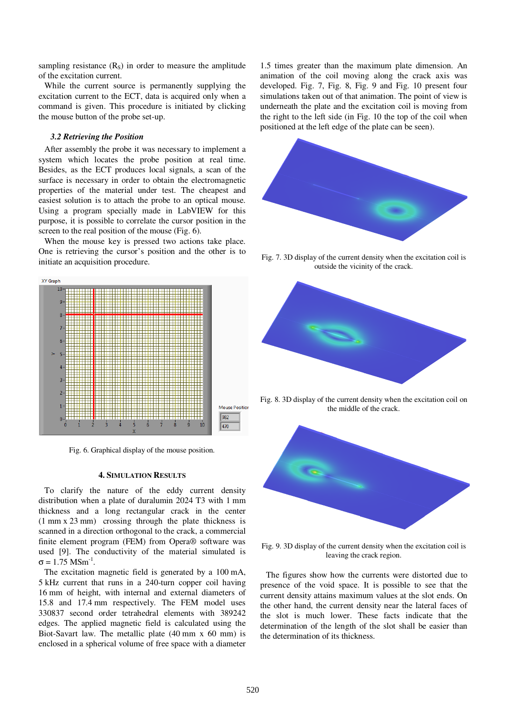sampling resistance  $(R<sub>S</sub>)$  in order to measure the amplitude of the excitation current.

While the current source is permanently supplying the excitation current to the ECT, data is acquired only when a command is given. This procedure is initiated by clicking the mouse button of the probe set-up.

# *3.2 Retrieving the Position*

After assembly the probe it was necessary to implement a system which locates the probe position at real time. Besides, as the ECT produces local signals, a scan of the surface is necessary in order to obtain the electromagnetic properties of the material under test. The cheapest and easiest solution is to attach the probe to an optical mouse. Using a program specially made in LabVIEW for this purpose, it is possible to correlate the cursor position in the screen to the real position of the mouse (Fig. 6).

When the mouse key is pressed two actions take place. One is retrieving the cursor's position and the other is to initiate an acquisition procedure.



Fig. 6. Graphical display of the mouse position.

### **4. SIMULATION RESULTS**

To clarify the nature of the eddy current density distribution when a plate of duralumin 2024 T3 with 1 mm thickness and a long rectangular crack in the center (1 mm x 23 mm) crossing through the plate thickness is scanned in a direction orthogonal to the crack, a commercial finite element program (FEM) from Opera® software was used [9]. The conductivity of the material simulated is  $σ = 1.75$  MSm<sup>-1</sup>.

The excitation magnetic field is generated by a 100 mA, 5 kHz current that runs in a 240-turn copper coil having 16 mm of height, with internal and external diameters of 15.8 and 17.4 mm respectively. The FEM model uses 330837 second order tetrahedral elements with 389242 edges. The applied magnetic field is calculated using the Biot-Savart law. The metallic plate (40 mm x 60 mm) is enclosed in a spherical volume of free space with a diameter

1.5 times greater than the maximum plate dimension. An animation of the coil moving along the crack axis was developed. Fig. 7, Fig. 8, Fig. 9 and Fig. 10 present four simulations taken out of that animation. The point of view is underneath the plate and the excitation coil is moving from the right to the left side (in Fig. 10 the top of the coil when positioned at the left edge of the plate can be seen).



Fig. 7. 3D display of the current density when the excitation coil is outside the vicinity of the crack.



Fig. 8. 3D display of the current density when the excitation coil on the middle of the crack.



Fig. 9. 3D display of the current density when the excitation coil is leaving the crack region.

The figures show how the currents were distorted due to presence of the void space. It is possible to see that the current density attains maximum values at the slot ends. On the other hand, the current density near the lateral faces of the slot is much lower. These facts indicate that the determination of the length of the slot shall be easier than the determination of its thickness.